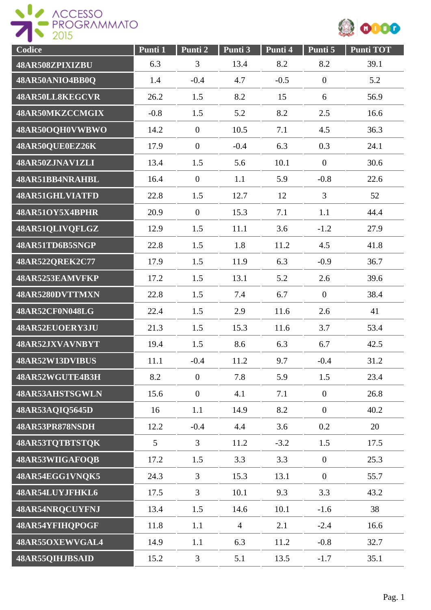



| Codice          | Punti 1         | Punti 2          | Punti 3        | Punti 4 | Punti 5        | <b>Punti TOT</b> |
|-----------------|-----------------|------------------|----------------|---------|----------------|------------------|
| 48AR508ZPIXIZBU | 6.3             | 3                | 13.4           | 8.2     | 8.2            | 39.1             |
| 48AR50ANIO4BB0Q | 1.4             | $-0.4$           | 4.7            | $-0.5$  | $\overline{0}$ | 5.2              |
| 48AR50LL8KEGCVR | 26.2            | 1.5              | 8.2            | 15      | 6              | 56.9             |
| 48AR50MKZCCMGIX | $-0.8$          | 1.5              | 5.2            | 8.2     | 2.5            | 16.6             |
| 48AR50OQH0VWBWO | 14.2            | $\overline{0}$   | 10.5           | 7.1     | 4.5            | 36.3             |
| 48AR50QUE0EZ26K | 17.9            | $\overline{0}$   | $-0.4$         | 6.3     | 0.3            | 24.1             |
| 48AR50ZJNAV1ZLI | 13.4            | 1.5              | 5.6            | 10.1    | $\overline{0}$ | 30.6             |
| 48AR51BB4NRAHBL | 16.4            | $\overline{0}$   | 1.1            | 5.9     | $-0.8$         | 22.6             |
| 48AR51GHLVIATFD | 22.8            | 1.5              | 12.7           | 12      | $\overline{3}$ | 52               |
| 48AR51OY5X4BPHR | 20.9            | $\mathbf{0}$     | 15.3           | 7.1     | 1.1            | 44.4             |
| 48AR51QLIVQFLGZ | 12.9            | 1.5              | 11.1           | 3.6     | $-1.2$         | 27.9             |
| 48AR51TD6B5SNGP | 22.8            | 1.5              | 1.8            | 11.2    | 4.5            | 41.8             |
| 48AR522QREK2C77 | 17.9            | 1.5              | 11.9           | 6.3     | $-0.9$         | 36.7             |
| 48AR5253EAMVFKP | 17.2            | 1.5              | 13.1           | 5.2     | 2.6            | 39.6             |
| 48AR5280DVTTMXN | 22.8            | 1.5              | 7.4            | 6.7     | $\overline{0}$ | 38.4             |
| 48AR52CF0N048LG | 22.4            | 1.5              | 2.9            | 11.6    | 2.6            | 41               |
| 48AR52EUOERY3JU | 21.3            | 1.5              | 15.3           | 11.6    | 3.7            | 53.4             |
| 48AR52JXVAVNBYT | 19.4            | 1.5              | 8.6            | 6.3     | 6.7            | 42.5             |
| 48AR52W13DVIBUS | 11.1            | $-0.4$           | 11.2           | 9.7     | $-0.4$         | 31.2             |
| 48AR52WGUTE4B3H | 8.2             | $\overline{0}$   | 7.8            | 5.9     | 1.5            | 23.4             |
| 48AR53AHSTSGWLN | 15.6            | $\boldsymbol{0}$ | 4.1            | 7.1     | $\overline{0}$ | 26.8             |
| 48AR53AQIQ5645D | 16              | 1.1              | 14.9           | 8.2     | $\overline{0}$ | 40.2             |
| 48AR53PR878NSDH | 12.2            | $-0.4$           | 4.4            | 3.6     | 0.2            | 20               |
| 48AR53TQTBTSTQK | $5\overline{)}$ | $\overline{3}$   | 11.2           | $-3.2$  | 1.5            | 17.5             |
| 48AR53WIIGAFOQB | 17.2            | 1.5              | 3.3            | 3.3     | $\overline{0}$ | 25.3             |
| 48AR54EGG1VNQK5 | 24.3            | $\overline{3}$   | 15.3           | 13.1    | $\overline{0}$ | 55.7             |
| 48AR54LUYJFHKL6 | 17.5            | $\overline{3}$   | 10.1           | 9.3     | 3.3            | 43.2             |
| 48AR54NRQCUYFNJ | 13.4            | 1.5              | 14.6           | 10.1    | $-1.6$         | 38               |
| 48AR54YFIHQPOGF | 11.8            | 1.1              | $\overline{4}$ | 2.1     | $-2.4$         | 16.6             |
| 48AR55OXEWVGAL4 | 14.9            | 1.1              | 6.3            | 11.2    | $-0.8$         | 32.7             |
| 48AR55QIHJBSAID | 15.2            | $\mathfrak{Z}$   | 5.1            | 13.5    | $-1.7$         | 35.1             |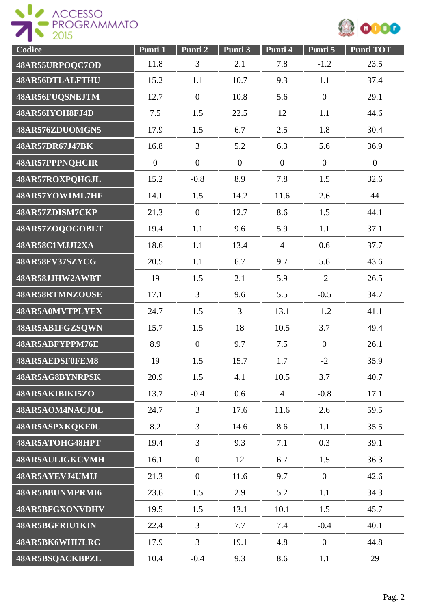



| Codice                 | Punti 1      | Punti 2        | Punti 3        | Punti 4        | Punti 5        | <b>Punti TOT</b> |
|------------------------|--------------|----------------|----------------|----------------|----------------|------------------|
| 48AR55URPOQC7OD        | 11.8         | 3              | 2.1            | 7.8            | $-1.2$         | 23.5             |
| 48AR56DTLALFTHU        | 15.2         | 1.1            | 10.7           | 9.3            | 1.1            | 37.4             |
| 48AR56FUQSNEJTM        | 12.7         | $\overline{0}$ | 10.8           | 5.6            | $\mathbf{0}$   | 29.1             |
| 48AR56IYOH8FJ4D        | 7.5          | 1.5            | 22.5           | 12             | 1.1            | 44.6             |
| 48AR576ZDUOMGN5        | 17.9         | 1.5            | 6.7            | 2.5            | 1.8            | 30.4             |
| 48AR57DR67J47BK        | 16.8         | $\overline{3}$ | 5.2            | 6.3            | 5.6            | 36.9             |
| <b>48AR57PPPNQHCIR</b> | $\mathbf{0}$ | $\mathbf{0}$   | $\overline{0}$ | $\overline{0}$ | $\mathbf{0}$   | $\overline{0}$   |
| 48AR57ROXPQHGJL        | 15.2         | $-0.8$         | 8.9            | 7.8            | 1.5            | 32.6             |
| 48AR57YOW1ML7HF        | 14.1         | 1.5            | 14.2           | 11.6           | 2.6            | 44               |
| 48AR57ZDISM7CKP        | 21.3         | $\overline{0}$ | 12.7           | 8.6            | 1.5            | 44.1             |
| 48AR57ZOQOGOBLT        | 19.4         | 1.1            | 9.6            | 5.9            | 1.1            | 37.1             |
| 48AR58C1MJJI2XA        | 18.6         | 1.1            | 13.4           | $\overline{4}$ | 0.6            | 37.7             |
| 48AR58FV37SZYCG        | 20.5         | 1.1            | 6.7            | 9.7            | 5.6            | 43.6             |
| 48AR58JJHW2AWBT        | 19           | 1.5            | 2.1            | 5.9            | $-2$           | 26.5             |
| 48AR58RTMNZOUSE        | 17.1         | $\overline{3}$ | 9.6            | 5.5            | $-0.5$         | 34.7             |
| 48AR5A0MVTPLYEX        | 24.7         | 1.5            | $\overline{3}$ | 13.1           | $-1.2$         | 41.1             |
| 48AR5AB1FGZSQWN        | 15.7         | 1.5            | 18             | 10.5           | 3.7            | 49.4             |
| 48AR5ABFYPPM76E        | 8.9          | $\overline{0}$ | 9.7            | 7.5            | $\mathbf{0}$   | 26.1             |
| 48AR5AEDSF0FEM8        | 19           | 1.5            | 15.7           | 1.7            | $-2$           | 35.9             |
| 48AR5AG8BYNRPSK        | 20.9         | 1.5            | 4.1            | 10.5           | 3.7            | 40.7             |
| 48AR5AKIBIKI5ZO        | 13.7         | $-0.4$         | 0.6            | $\overline{4}$ | $-0.8$         | 17.1             |
| 48AR5AOM4NACJOL        | 24.7         | 3              | 17.6           | 11.6           | 2.6            | 59.5             |
| 48AR5ASPXKQKE0U        | 8.2          | 3              | 14.6           | 8.6            | 1.1            | 35.5             |
| 48AR5ATOHG48HPT        | 19.4         | $\overline{3}$ | 9.3            | 7.1            | 0.3            | 39.1             |
| 48AR5AULIGKCVMH        | 16.1         | $\overline{0}$ | 12             | 6.7            | 1.5            | 36.3             |
| 48AR5AYEVJ4UMIJ        | 21.3         | $\overline{0}$ | 11.6           | 9.7            | $\overline{0}$ | 42.6             |
| 48AR5BBUNMPRMI6        | 23.6         | 1.5            | 2.9            | 5.2            | 1.1            | 34.3             |
| 48AR5BFGXONVDHV        | 19.5         | 1.5            | 13.1           | 10.1           | 1.5            | 45.7             |
| 48AR5BGFRIU1KIN        | 22.4         | $\overline{3}$ | 7.7            | 7.4            | $-0.4$         | 40.1             |
| 48AR5BK6WHI7LRC        | 17.9         | $\overline{3}$ | 19.1           | 4.8            | $\overline{0}$ | 44.8             |
| 48AR5BSQACKBPZL        | 10.4         | $-0.4$         | 9.3            | 8.6            | 1.1            | 29               |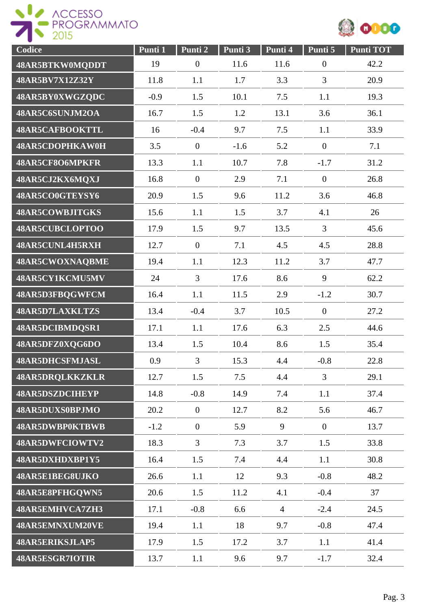



| Codice                 | Punti 1 | Punti 2          | Punti 3 | Punti 4        | Punti 5          | <b>Punti TOT</b> |
|------------------------|---------|------------------|---------|----------------|------------------|------------------|
| 48AR5BTKW0MQDDT        | 19      | $\boldsymbol{0}$ | 11.6    | 11.6           | $\boldsymbol{0}$ | 42.2             |
| 48AR5BV7X12Z32Y        | 11.8    | 1.1              | 1.7     | 3.3            | $\overline{3}$   | 20.9             |
| 48AR5BY0XWGZQDC        | $-0.9$  | 1.5              | 10.1    | 7.5            | 1.1              | 19.3             |
| 48AR5C6SUNJM2OA        | 16.7    | 1.5              | 1.2     | 13.1           | 3.6              | 36.1             |
| 48AR5CAFBOOKTTL        | 16      | $-0.4$           | 9.7     | 7.5            | 1.1              | 33.9             |
| 48AR5CDOPHKAW0H        | 3.5     | $\boldsymbol{0}$ | $-1.6$  | 5.2            | $\boldsymbol{0}$ | 7.1              |
| 48AR5CF8O6MPKFR        | 13.3    | 1.1              | 10.7    | 7.8            | $-1.7$           | 31.2             |
| 48AR5CJ2KX6MQXJ        | 16.8    | $\overline{0}$   | 2.9     | 7.1            | $\mathbf{0}$     | 26.8             |
| 48AR5CO0GTEYSY6        | 20.9    | 1.5              | 9.6     | 11.2           | 3.6              | 46.8             |
| <b>48AR5COWBJITGKS</b> | 15.6    | 1.1              | 1.5     | 3.7            | 4.1              | 26               |
| 48AR5CUBCLOPTOO        | 17.9    | 1.5              | 9.7     | 13.5           | $\overline{3}$   | 45.6             |
| 48AR5CUNL4H5RXH        | 12.7    | $\boldsymbol{0}$ | 7.1     | 4.5            | 4.5              | 28.8             |
| 48AR5CWOXNAQBME        | 19.4    | 1.1              | 12.3    | 11.2           | 3.7              | 47.7             |
| 48AR5CY1KCMU5MV        | 24      | $\overline{3}$   | 17.6    | 8.6            | 9                | 62.2             |
| 48AR5D3FBQGWFCM        | 16.4    | 1.1              | 11.5    | 2.9            | $-1.2$           | 30.7             |
| 48AR5D7LAXKLTZS        | 13.4    | $-0.4$           | 3.7     | 10.5           | $\boldsymbol{0}$ | 27.2             |
| 48AR5DCIBMDQSR1        | 17.1    | 1.1              | 17.6    | 6.3            | 2.5              | 44.6             |
| 48AR5DFZ0XQG6DO        | 13.4    | 1.5              | 10.4    | 8.6            | 1.5              | 35.4             |
| 48AR5DHCSFMJASL        | 0.9     | $\overline{3}$   | 15.3    | 4.4            | $-0.8$           | 22.8             |
| <b>48AR5DRQLKKZKLR</b> | 12.7    | 1.5              | 7.5     | 4.4            | $\overline{3}$   | 29.1             |
| <b>48AR5DSZDCIHEYP</b> | 14.8    | $-0.8$           | 14.9    | 7.4            | 1.1              | 37.4             |
| 48AR5DUXS0BPJMO        | 20.2    | $\overline{0}$   | 12.7    | 8.2            | 5.6              | 46.7             |
| 48AR5DWBP0KTBWB        | $-1.2$  | $\overline{0}$   | 5.9     | 9              | $\overline{0}$   | 13.7             |
| 48AR5DWFCIOWTV2        | 18.3    | $\overline{3}$   | 7.3     | 3.7            | 1.5              | 33.8             |
| 48AR5DXHDXBP1Y5        | 16.4    | 1.5              | 7.4     | 4.4            | 1.1              | 30.8             |
| 48AR5E1BEG8UJKO        | 26.6    | 1.1              | 12      | 9.3            | $-0.8$           | 48.2             |
| 48AR5E8PFHGQWN5        | 20.6    | 1.5              | 11.2    | 4.1            | $-0.4$           | 37               |
| 48AR5EMHVCA7ZH3        | 17.1    | $-0.8$           | 6.6     | $\overline{4}$ | $-2.4$           | 24.5             |
| 48AR5EMNXUM20VE        | 19.4    | 1.1              | 18      | 9.7            | $-0.8$           | 47.4             |
| <b>48AR5ERIKSJLAP5</b> | 17.9    | 1.5              | 17.2    | 3.7            | 1.1              | 41.4             |
| 48AR5ESGR7IOTIR        | 13.7    | 1.1              | 9.6     | 9.7            | $-1.7$           | 32.4             |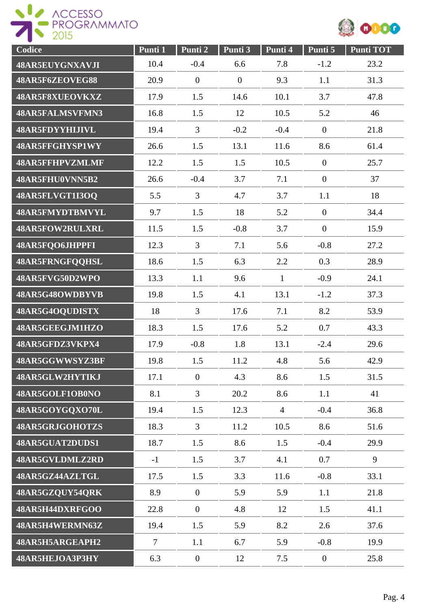



| Codice                 | Punti 1        | Punti 2          | Punti 3          | Punti 4        | Punti 5        | Punti TOT |
|------------------------|----------------|------------------|------------------|----------------|----------------|-----------|
| 48AR5EUYGNXAVJI        | 10.4           | $-0.4$           | 6.6              | 7.8            | $-1.2$         | 23.2      |
| 48AR5F6ZEOVEG88        | 20.9           | $\overline{0}$   | $\boldsymbol{0}$ | 9.3            | 1.1            | 31.3      |
| 48AR5F8XUEOVKXZ        | 17.9           | 1.5              | 14.6             | 10.1           | 3.7            | 47.8      |
| 48AR5FALMSVFMN3        | 16.8           | 1.5              | 12               | 10.5           | 5.2            | 46        |
| 48AR5FDYYHIJIVL        | 19.4           | $\overline{3}$   | $-0.2$           | $-0.4$         | $\mathbf{0}$   | 21.8      |
| 48AR5FFGHYSP1WY        | 26.6           | 1.5              | 13.1             | 11.6           | 8.6            | 61.4      |
| <b>48AR5FFHPVZMLMF</b> | 12.2           | 1.5              | 1.5              | 10.5           | $\mathbf{0}$   | 25.7      |
| 48AR5FHU0VNN5B2        | 26.6           | $-0.4$           | 3.7              | 7.1            | $\mathbf{0}$   | 37        |
| 48AR5FLVGT1I3OQ        | 5.5            | $\overline{3}$   | 4.7              | 3.7            | 1.1            | 18        |
| 48AR5FMYDTBMVYL        | 9.7            | 1.5              | 18               | 5.2            | $\mathbf{0}$   | 34.4      |
| 48AR5FOW2RULXRL        | 11.5           | 1.5              | $-0.8$           | 3.7            | $\mathbf{0}$   | 15.9      |
| 48AR5FQO6JHPPFI        | 12.3           | $\overline{3}$   | 7.1              | 5.6            | $-0.8$         | 27.2      |
| 48AR5FRNGFQQHSL        | 18.6           | 1.5              | 6.3              | 2.2            | 0.3            | 28.9      |
| 48AR5FVG50D2WPO        | 13.3           | 1.1              | 9.6              | $\mathbf{1}$   | $-0.9$         | 24.1      |
| 48AR5G48OWDBYVB        | 19.8           | 1.5              | 4.1              | 13.1           | $-1.2$         | 37.3      |
| 48AR5G4OQUDISTX        | 18             | $\overline{3}$   | 17.6             | 7.1            | 8.2            | 53.9      |
| 48AR5GEEGJM1HZO        | 18.3           | 1.5              | 17.6             | 5.2            | 0.7            | 43.3      |
| 48AR5GFDZ3VKPX4        | 17.9           | $-0.8$           | 1.8              | 13.1           | $-2.4$         | 29.6      |
| 48AR5GGWWSYZ3BF        | 19.8           | 1.5              | 11.2             | 4.8            | 5.6            | 42.9      |
| 48AR5GLW2HYTIKJ        | 17.1           | $\boldsymbol{0}$ | 4.3              | 8.6            | 1.5            | 31.5      |
| 48AR5GOLF1OB0NO        | 8.1            | $\overline{3}$   | 20.2             | 8.6            | 1.1            | 41        |
| 48AR5GOYGQXO70L        | 19.4           | 1.5              | 12.3             | $\overline{4}$ | $-0.4$         | 36.8      |
| 48AR5GRJGOHOTZS        | 18.3           | 3                | 11.2             | 10.5           | 8.6            | 51.6      |
| 48AR5GUAT2DUDS1        | 18.7           | 1.5              | 8.6              | 1.5            | $-0.4$         | 29.9      |
| 48AR5GVLDMLZ2RD        | $-1$           | 1.5              | 3.7              | 4.1            | 0.7            | 9         |
| 48AR5GZ44AZLTGL        | 17.5           | 1.5              | 3.3              | 11.6           | $-0.8$         | 33.1      |
| 48AR5GZQUY54QRK        | 8.9            | $\overline{0}$   | 5.9              | 5.9            | 1.1            | 21.8      |
| 48AR5H44DXRFGOO        | 22.8           | $\overline{0}$   | 4.8              | 12             | 1.5            | 41.1      |
| 48AR5H4WERMN63Z        | 19.4           | 1.5              | 5.9              | 8.2            | 2.6            | 37.6      |
| 48AR5H5ARGEAPH2        | $\overline{7}$ | 1.1              | 6.7              | 5.9            | $-0.8$         | 19.9      |
| 48AR5HEJOA3P3HY        | 6.3            | $\overline{0}$   | 12               | 7.5            | $\overline{0}$ | 25.8      |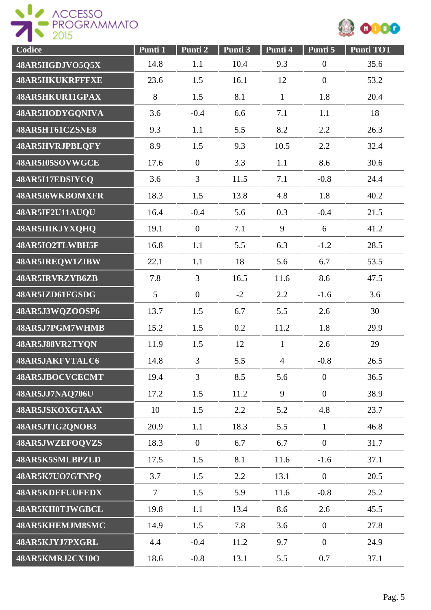



| Codice                 | Punti 1         | Punti 2        | Punti 3 | Punti 4        | Punti 5          | <b>Punti TOT</b> |
|------------------------|-----------------|----------------|---------|----------------|------------------|------------------|
| 48AR5HGDJVO5Q5X        | 14.8            | 1.1            | 10.4    | 9.3            | $\boldsymbol{0}$ | 35.6             |
| <b>48AR5HKUKRFFFXE</b> | 23.6            | 1.5            | 16.1    | 12             | $\overline{0}$   | 53.2             |
| 48AR5HKUR11GPAX        | 8               | 1.5            | 8.1     | $\mathbf{1}$   | 1.8              | 20.4             |
| 48AR5HODYGQNIVA        | 3.6             | $-0.4$         | 6.6     | 7.1            | 1.1              | 18               |
| 48AR5HT61CZSNE8        | 9.3             | 1.1            | 5.5     | 8.2            | 2.2              | 26.3             |
| 48AR5HVRJPBLQFY        | 8.9             | 1.5            | 9.3     | 10.5           | 2.2              | 32.4             |
| 48AR5I05SOVWGCE        | 17.6            | $\overline{0}$ | 3.3     | 1.1            | 8.6              | 30.6             |
| 48AR5I17EDSIYCQ        | 3.6             | $\overline{3}$ | 11.5    | 7.1            | $-0.8$           | 24.4             |
| 48AR5I6WKBOMXFR        | 18.3            | 1.5            | 13.8    | 4.8            | 1.8              | 40.2             |
| 48AR5IF2U11AUQU        | 16.4            | $-0.4$         | 5.6     | 0.3            | $-0.4$           | 21.5             |
| 48AR5IIIKJYXQHQ        | 19.1            | $\mathbf{0}$   | 7.1     | 9              | 6                | 41.2             |
| 48AR5IO2TLWBH5F        | 16.8            | 1.1            | 5.5     | 6.3            | $-1.2$           | 28.5             |
| 48AR5IREQW1ZIBW        | 22.1            | 1.1            | 18      | 5.6            | 6.7              | 53.5             |
| 48AR5IRVRZYB6ZB        | 7.8             | $\overline{3}$ | 16.5    | 11.6           | 8.6              | 47.5             |
| 48AR5IZD61FGSDG        | $5\overline{)}$ | $\overline{0}$ | $-2$    | 2.2            | $-1.6$           | 3.6              |
| 48AR5J3WQZOOSP6        | 13.7            | 1.5            | 6.7     | 5.5            | 2.6              | 30               |
| 48AR5J7PGM7WHMB        | 15.2            | 1.5            | 0.2     | 11.2           | 1.8              | 29.9             |
| 48AR5J88VR2TYQN        | 11.9            | 1.5            | 12      | $\mathbf{1}$   | 2.6              | 29               |
| 48AR5JAKFVTALC6        | 14.8            | 3              | 5.5     | $\overline{4}$ | $-0.8$           | 26.5             |
| 48AR5JBOCVCECMT        | 19.4            | $\overline{3}$ | 8.5     | 5.6            | $\overline{0}$   | 36.5             |
| 48AR5JJ7NAQ706U        | 17.2            | 1.5            | 11.2    | 9              | $\overline{0}$   | 38.9             |
| 48AR5JSKOXGTAAX        | 10              | 1.5            | 2.2     | 5.2            | 4.8              | 23.7             |
| 48AR5JTIG2QNOB3        | 20.9            | 1.1            | 18.3    | 5.5            | $\mathbf{1}$     | 46.8             |
| 48AR5JWZEFOQVZS        | 18.3            | $\overline{0}$ | 6.7     | 6.7            | $\overline{0}$   | 31.7             |
| 48AR5K5SMLBPZLD        | 17.5            | 1.5            | 8.1     | 11.6           | $-1.6$           | 37.1             |
| 48AR5K7UO7GTNPQ        | 3.7             | 1.5            | 2.2     | 13.1           | $\overline{0}$   | 20.5             |
| <b>48AR5KDEFUUFEDX</b> | $\overline{7}$  | 1.5            | 5.9     | 11.6           | $-0.8$           | 25.2             |
| 48AR5KH0TJWGBCL        | 19.8            | 1.1            | 13.4    | 8.6            | 2.6              | 45.5             |
| 48AR5KHEMJM8SMC        | 14.9            | 1.5            | 7.8     | 3.6            | $\overline{0}$   | 27.8             |
| 48AR5KJYJ7PXGRL        | 4.4             | $-0.4$         | 11.2    | 9.7            | $\overline{0}$   | 24.9             |
| 48AR5KMRJ2CX10O        | 18.6            | $-0.8$         | 13.1    | 5.5            | 0.7              | 37.1             |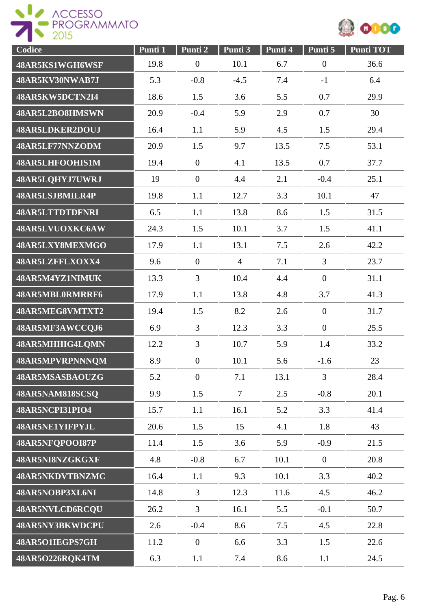



| Codice                 | Punti 1 | Punti 2          | Punti 3        | Punti 4 | Punti 5          | <b>Punti TOT</b> |
|------------------------|---------|------------------|----------------|---------|------------------|------------------|
| 48AR5KS1WGH6WSF        | 19.8    | $\boldsymbol{0}$ | 10.1           | 6.7     | $\boldsymbol{0}$ | 36.6             |
| 48AR5KV30NWAB7J        | 5.3     | $-0.8$           | $-4.5$         | 7.4     | $-1$             | 6.4              |
| 48AR5KW5DCTN2I4        | 18.6    | 1.5              | 3.6            | 5.5     | 0.7              | 29.9             |
| 48AR5L2BO8HMSWN        | 20.9    | $-0.4$           | 5.9            | 2.9     | 0.7              | 30               |
| 48AR5LDKER2DOUJ        | 16.4    | 1.1              | 5.9            | 4.5     | 1.5              | 29.4             |
| 48AR5LF77NNZODM        | 20.9    | 1.5              | 9.7            | 13.5    | 7.5              | 53.1             |
| 48AR5LHFOOHIS1M        | 19.4    | $\mathbf{0}$     | 4.1            | 13.5    | 0.7              | 37.7             |
| 48AR5LQHYJ7UWRJ        | 19      | $\mathbf{0}$     | 4.4            | 2.1     | $-0.4$           | 25.1             |
| 48AR5LSJBMILR4P        | 19.8    | 1.1              | 12.7           | 3.3     | 10.1             | 47               |
| <b>48AR5LTTDTDFNRI</b> | 6.5     | 1.1              | 13.8           | 8.6     | 1.5              | 31.5             |
| 48AR5LVUOXKC6AW        | 24.3    | 1.5              | 10.1           | 3.7     | 1.5              | 41.1             |
| 48AR5LXY8MEXMGO        | 17.9    | 1.1              | 13.1           | 7.5     | 2.6              | 42.2             |
| 48AR5LZFFLXOXX4        | 9.6     | $\mathbf{0}$     | $\overline{4}$ | 7.1     | 3                | 23.7             |
| 48AR5M4YZ1NIMUK        | 13.3    | $\overline{3}$   | 10.4           | 4.4     | $\overline{0}$   | 31.1             |
| 48AR5MBL0RMRRF6        | 17.9    | 1.1              | 13.8           | 4.8     | 3.7              | 41.3             |
| 48AR5MEG8VMTXT2        | 19.4    | 1.5              | 8.2            | 2.6     | $\mathbf{0}$     | 31.7             |
| 48AR5MF3AWCCQJ6        | 6.9     | $\overline{3}$   | 12.3           | 3.3     | $\mathbf{0}$     | 25.5             |
| 48AR5MHHIG4LQMN        | 12.2    | $\overline{3}$   | 10.7           | 5.9     | 1.4              | 33.2             |
| 48AR5MPVRPNNNQM        | 8.9     | $\boldsymbol{0}$ | 10.1           | 5.6     | $-1.6$           | 23               |
| 48AR5MSASBAOUZG        | 5.2     | $\overline{0}$   | 7.1            | 13.1    | $\overline{3}$   | 28.4             |
| 48AR5NAM818SCSQ        | 9.9     | 1.5              | $\tau$         | 2.5     | $-0.8$           | 20.1             |
| 48AR5NCPI31PIO4        | 15.7    | 1.1              | 16.1           | 5.2     | 3.3              | 41.4             |
| 48AR5NE1YIFPYJL        | 20.6    | 1.5              | 15             | 4.1     | 1.8              | 43               |
| 48AR5NFQPOOI87P        | 11.4    | 1.5              | 3.6            | 5.9     | $-0.9$           | 21.5             |
| 48AR5NI8NZGKGXF        | 4.8     | $-0.8$           | 6.7            | 10.1    | $\overline{0}$   | 20.8             |
| 48AR5NKDVTBNZMC        | 16.4    | 1.1              | 9.3            | 10.1    | 3.3              | 40.2             |
| 48AR5NOBP3XL6NI        | 14.8    | $\overline{3}$   | 12.3           | 11.6    | 4.5              | 46.2             |
| 48AR5NVLCD6RCQU        | 26.2    | $\overline{3}$   | 16.1           | 5.5     | $-0.1$           | 50.7             |
| 48AR5NY3BKWDCPU        | 2.6     | $-0.4$           | 8.6            | 7.5     | 4.5              | 22.8             |
| 48AR5O1IEGPS7GH        | 11.2    | $\boldsymbol{0}$ | 6.6            | 3.3     | 1.5              | 22.6             |
| 48AR5O226RQK4TM        | 6.3     | 1.1              | 7.4            | 8.6     | 1.1              | 24.5             |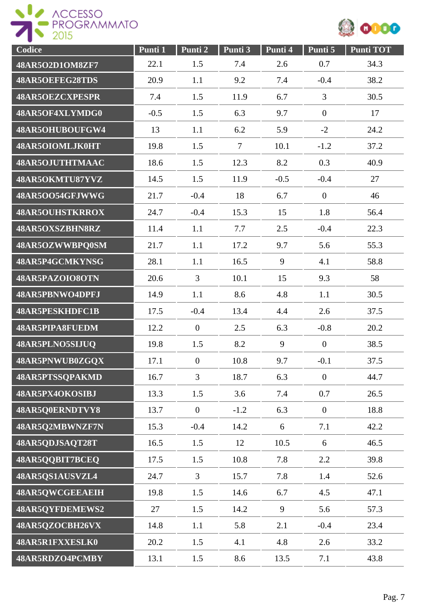



| Codice                 | Punti 1 | Punti <sub>2</sub> | Punti 3 | Punti 4 | Punti 5        | <b>Punti TOT</b> |
|------------------------|---------|--------------------|---------|---------|----------------|------------------|
| 48AR5O2D1OM8ZF7        | 22.1    | 1.5                | 7.4     | 2.6     | 0.7            | 34.3             |
| 48AR5OEFEG28TDS        | 20.9    | 1.1                | 9.2     | 7.4     | $-0.4$         | 38.2             |
| <b>48AR5OEZCXPESPR</b> | 7.4     | 1.5                | 11.9    | 6.7     | 3              | 30.5             |
| 48AR5OF4XLYMDG0        | $-0.5$  | 1.5                | 6.3     | 9.7     | $\overline{0}$ | 17               |
| 48AR5OHUBOUFGW4        | 13      | 1.1                | 6.2     | 5.9     | $-2$           | 24.2             |
| 48AR5OIOMLJK0HT        | 19.8    | 1.5                | $\tau$  | 10.1    | $-1.2$         | 37.2             |
| 48AR5OJUTHTMAAC        | 18.6    | 1.5                | 12.3    | 8.2     | 0.3            | 40.9             |
| 48AR5OKMTU87YVZ        | 14.5    | 1.5                | 11.9    | $-0.5$  | $-0.4$         | 27               |
| 48AR5OO54GFJWWG        | 21.7    | $-0.4$             | 18      | 6.7     | $\overline{0}$ | 46               |
| <b>48AR5OUHSTKRROX</b> | 24.7    | $-0.4$             | 15.3    | 15      | 1.8            | 56.4             |
| 48AR5OXSZBHN8RZ        | 11.4    | 1.1                | 7.7     | 2.5     | $-0.4$         | 22.3             |
| 48AR5OZWWBPQ0SM        | 21.7    | 1.1                | 17.2    | 9.7     | 5.6            | 55.3             |
| 48AR5P4GCMKYNSG        | 28.1    | 1.1                | 16.5    | 9       | 4.1            | 58.8             |
| 48AR5PAZOIO8OTN        | 20.6    | 3                  | 10.1    | 15      | 9.3            | 58               |
| 48AR5PBNWO4DPFJ        | 14.9    | 1.1                | 8.6     | 4.8     | 1.1            | 30.5             |
| <b>48AR5PESKHDFC1B</b> | 17.5    | $-0.4$             | 13.4    | 4.4     | 2.6            | 37.5             |
| 48AR5PIPA8FUEDM        | 12.2    | $\overline{0}$     | 2.5     | 6.3     | $-0.8$         | 20.2             |
| 48AR5PLNO5SIJUQ        | 19.8    | 1.5                | 8.2     | 9       | $\overline{0}$ | 38.5             |
| 48AR5PNWUB0ZGQX        | 17.1    | $\overline{0}$     | 10.8    | 9.7     | $-0.1$         | 37.5             |
| 48AR5PTSSQPAKMD        | 16.7    | $\overline{3}$     | 18.7    | 6.3     | $\overline{0}$ | 44.7             |
| 48AR5PX4OKOSIBJ        | 13.3    | 1.5                | 3.6     | 7.4     | 0.7            | 26.5             |
| 48AR5Q0ERNDTVY8        | 13.7    | $\overline{0}$     | $-1.2$  | 6.3     | $\overline{0}$ | 18.8             |
| 48AR5Q2MBWNZF7N        | 15.3    | $-0.4$             | 14.2    | 6       | 7.1            | 42.2             |
| 48AR5QDJSAQT28T        | 16.5    | 1.5                | 12      | 10.5    | 6              | 46.5             |
| 48AR5QQBIT7BCEQ        | 17.5    | 1.5                | 10.8    | 7.8     | 2.2            | 39.8             |
| 48AR5QS1AUSVZL4        | 24.7    | $\overline{3}$     | 15.7    | 7.8     | 1.4            | 52.6             |
| 48AR5QWCGEEAEIH        | 19.8    | 1.5                | 14.6    | 6.7     | 4.5            | 47.1             |
| 48AR5QYFDEMEWS2        | 27      | 1.5                | 14.2    | 9       | 5.6            | 57.3             |
| 48AR5QZOCBH26VX        | 14.8    | 1.1                | 5.8     | 2.1     | $-0.4$         | 23.4             |
| 48AR5R1FXXESLK0        | 20.2    | 1.5                | 4.1     | 4.8     | 2.6            | 33.2             |
| 48AR5RDZO4PCMBY        | 13.1    | 1.5                | 8.6     | 13.5    | 7.1            | 43.8             |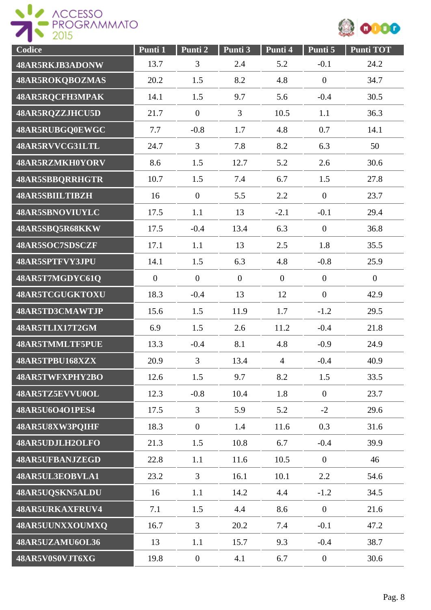



| Codice                 | Punti 1          | Punti 2        | Punti 3        | Punti 4        | Punti 5        | <b>Punti TOT</b> |
|------------------------|------------------|----------------|----------------|----------------|----------------|------------------|
| 48AR5RKJB3ADONW        | 13.7             | $\mathfrak{Z}$ | 2.4            | 5.2            | $-0.1$         | 24.2             |
| 48AR5ROKQBOZMAS        | 20.2             | 1.5            | 8.2            | 4.8            | $\overline{0}$ | 34.7             |
| 48AR5RQCFH3MPAK        | 14.1             | 1.5            | 9.7            | 5.6            | $-0.4$         | 30.5             |
| 48AR5RQZZJHCU5D        | 21.7             | $\mathbf{0}$   | $\overline{3}$ | 10.5           | 1.1            | 36.3             |
| 48AR5RUBGQ0EWGC        | 7.7              | $-0.8$         | 1.7            | 4.8            | 0.7            | 14.1             |
| 48AR5RVVCG31LTL        | 24.7             | $\overline{3}$ | 7.8            | 8.2            | 6.3            | 50               |
| 48AR5RZMKH0YORV        | 8.6              | 1.5            | 12.7           | 5.2            | 2.6            | 30.6             |
| <b>48AR5SBBQRRHGTR</b> | 10.7             | 1.5            | 7.4            | 6.7            | 1.5            | 27.8             |
| 48AR5SBIILTIBZH        | 16               | $\mathbf{0}$   | 5.5            | 2.2            | $\overline{0}$ | 23.7             |
| 48AR5SBNOVIUYLC        | 17.5             | 1.1            | 13             | $-2.1$         | $-0.1$         | 29.4             |
| 48AR5SBQ5R68KKW        | 17.5             | $-0.4$         | 13.4           | 6.3            | $\overline{0}$ | 36.8             |
| 48AR5SOC7SDSCZF        | 17.1             | 1.1            | 13             | 2.5            | 1.8            | 35.5             |
| 48AR5SPTFVY3JPU        | 14.1             | 1.5            | 6.3            | 4.8            | $-0.8$         | 25.9             |
| 48AR5T7MGDYC61Q        | $\boldsymbol{0}$ | $\overline{0}$ | $\overline{0}$ | $\overline{0}$ | $\overline{0}$ | $\mathbf{0}$     |
| 48AR5TCGUGKTOXU        | 18.3             | $-0.4$         | 13             | 12             | $\overline{0}$ | 42.9             |
| 48AR5TD3CMAWTJP        | 15.6             | 1.5            | 11.9           | 1.7            | $-1.2$         | 29.5             |
| 48AR5TLIX17T2GM        | 6.9              | 1.5            | 2.6            | 11.2           | $-0.4$         | 21.8             |
| <b>48AR5TMMLTF5PUE</b> | 13.3             | $-0.4$         | 8.1            | 4.8            | $-0.9$         | 24.9             |
| 48AR5TPBU168XZX        | 20.9             | 3              | 13.4           | $\overline{4}$ | $-0.4$         | 40.9             |
| 48AR5TWFXPHY2BO        | 12.6             | 1.5            | 9.7            | 8.2            | 1.5            | 33.5             |
| 48AR5TZ5EVVU0OL        | 12.3             | $-0.8$         | 10.4           | 1.8            | $\overline{0}$ | 23.7             |
| 48AR5U6O4O1PES4        | 17.5             | $\overline{3}$ | 5.9            | 5.2            | $-2$           | 29.6             |
| 48AR5U8XW3PQIHF        | 18.3             | $\overline{0}$ | 1.4            | 11.6           | 0.3            | 31.6             |
| 48AR5UDJLH2OLFO        | 21.3             | 1.5            | 10.8           | 6.7            | $-0.4$         | 39.9             |
| 48AR5UFBANJZEGD        | 22.8             | 1.1            | 11.6           | 10.5           | $\overline{0}$ | 46               |
| 48AR5UL3EOBVLA1        | 23.2             | $\overline{3}$ | 16.1           | 10.1           | 2.2            | 54.6             |
| 48AR5UQSKN5ALDU        | 16               | 1.1            | 14.2           | 4.4            | $-1.2$         | 34.5             |
| 48AR5URKAXFRUV4        | 7.1              | 1.5            | 4.4            | 8.6            | $\overline{0}$ | 21.6             |
| 48AR5UUNXXOUMXQ        | 16.7             | $\overline{3}$ | 20.2           | 7.4            | $-0.1$         | 47.2             |
| 48AR5UZAMU6OL36        | 13               | 1.1            | 15.7           | 9.3            | $-0.4$         | 38.7             |
| 48AR5V0S0VJT6XG        | 19.8             | $\overline{0}$ | 4.1            | 6.7            | $\overline{0}$ | 30.6             |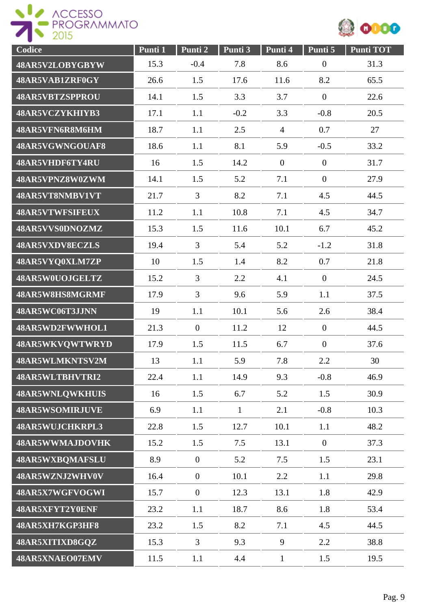



| Codice                 | Punti 1 | Punti 2          | Punti 3      | Punti 4          | Punti 5          | <b>Punti TOT</b> |
|------------------------|---------|------------------|--------------|------------------|------------------|------------------|
| 48AR5V2LOBYGBYW        | 15.3    | $-0.4$           | 7.8          | 8.6              | $\boldsymbol{0}$ | 31.3             |
| 48AR5VAB1ZRF0GY        | 26.6    | 1.5              | 17.6         | 11.6             | 8.2              | 65.5             |
| <b>48AR5VBTZSPPROU</b> | 14.1    | 1.5              | 3.3          | 3.7              | $\overline{0}$   | 22.6             |
| 48AR5VCZYKHIYB3        | 17.1    | 1.1              | $-0.2$       | 3.3              | $-0.8$           | 20.5             |
| 48AR5VFN6R8M6HM        | 18.7    | 1.1              | 2.5          | $\overline{4}$   | 0.7              | 27               |
| 48AR5VGWNGOUAF8        | 18.6    | 1.1              | 8.1          | 5.9              | $-0.5$           | 33.2             |
| 48AR5VHDF6TY4RU        | 16      | 1.5              | 14.2         | $\boldsymbol{0}$ | $\mathbf{0}$     | 31.7             |
| 48AR5VPNZ8W0ZWM        | 14.1    | 1.5              | 5.2          | 7.1              | $\overline{0}$   | 27.9             |
| 48AR5VT8NMBV1VT        | 21.7    | $\overline{3}$   | 8.2          | 7.1              | 4.5              | 44.5             |
| 48AR5VTWFSIFEUX        | 11.2    | 1.1              | 10.8         | 7.1              | 4.5              | 34.7             |
| 48AR5VVS0DNOZMZ        | 15.3    | 1.5              | 11.6         | 10.1             | 6.7              | 45.2             |
| 48AR5VXDV8ECZLS        | 19.4    | $\overline{3}$   | 5.4          | 5.2              | $-1.2$           | 31.8             |
| 48AR5VYQ0XLM7ZP        | 10      | 1.5              | 1.4          | 8.2              | 0.7              | 21.8             |
| 48AR5W0UOJGELTZ        | 15.2    | $\overline{3}$   | 2.2          | 4.1              | $\overline{0}$   | 24.5             |
| 48AR5W8HS8MGRMF        | 17.9    | $\overline{3}$   | 9.6          | 5.9              | 1.1              | 37.5             |
| 48AR5WC06T3JJNN        | 19      | 1.1              | 10.1         | 5.6              | 2.6              | 38.4             |
| 48AR5WD2FWWHOL1        | 21.3    | $\boldsymbol{0}$ | 11.2         | 12               | $\overline{0}$   | 44.5             |
| 48AR5WKVQWTWRYD        | 17.9    | 1.5              | 11.5         | 6.7              | $\mathbf{0}$     | 37.6             |
| 48AR5WLMKNTSV2M        | 13      | 1.1              | 5.9          | 7.8              | 2.2              | 30               |
| 48AR5WLTBHVTRI2        | 22.4    | 1.1              | 14.9         | 9.3              | $-0.8$           | 46.9             |
| 48AR5WNLQWKHUIS        | 16      | 1.5              | 6.7          | 5.2              | 1.5              | 30.9             |
| <b>48AR5WSOMIRJUVE</b> | 6.9     | 1.1              | $\mathbf{1}$ | 2.1              | $-0.8$           | 10.3             |
| 48AR5WUJCHKRPL3        | 22.8    | 1.5              | 12.7         | 10.1             | 1.1              | 48.2             |
| 48AR5WWMAJDOVHK        | 15.2    | 1.5              | 7.5          | 13.1             | $\overline{0}$   | 37.3             |
| 48AR5WXBQMAFSLU        | 8.9     | $\overline{0}$   | 5.2          | 7.5              | 1.5              | 23.1             |
| 48AR5WZNJ2WHV0V        | 16.4    | $\mathbf{0}$     | 10.1         | 2.2              | 1.1              | 29.8             |
| 48AR5X7WGFVOGWI        | 15.7    | $\overline{0}$   | 12.3         | 13.1             | 1.8              | 42.9             |
| 48AR5XFYT2Y0ENF        | 23.2    | 1.1              | 18.7         | 8.6              | 1.8              | 53.4             |
| 48AR5XH7KGP3HF8        | 23.2    | 1.5              | 8.2          | 7.1              | 4.5              | 44.5             |
| 48AR5XITIXD8GQZ        | 15.3    | $\overline{3}$   | 9.3          | 9                | 2.2              | 38.8             |
| 48AR5XNAEO07EMV        | 11.5    | 1.1              | 4.4          | $\mathbf{1}$     | 1.5              | 19.5             |